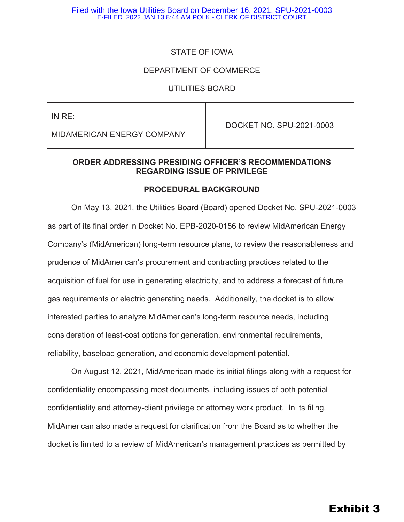# STATE OF IOWA

#### DEPARTMENT OF COMMERCE

#### UTILITIES BOARD

| IN RE:                     | DOCKET NO. SPU-2021-0003 |
|----------------------------|--------------------------|
| MIDAMERICAN ENERGY COMPANY |                          |

### **ORDER ADDRESSING PRESIDING OFFICER'S RECOMMENDATIONS REGARDING ISSUE OF PRIVILEGE**

#### **PROCEDURAL BACKGROUND**

On May 13, 2021, the Utilities Board (Board) opened Docket No. SPU-2021-0003 as part of its final order in Docket No. EPB-2020-0156 to review MidAmerican Energy Company's (MidAmerican) long-term resource plans, to review the reasonableness and prudence of MidAmerican's procurement and contracting practices related to the acquisition of fuel for use in generating electricity, and to address a forecast of future gas requirements or electric generating needs. Additionally, the docket is to allow interested parties to analyze MidAmerican's long-term resource needs, including consideration of least-cost options for generation, environmental requirements, reliability, baseload generation, and economic development potential.

On August 12, 2021, MidAmerican made its initial filings along with a request for confidentiality encompassing most documents, including issues of both potential confidentiality and attorney-client privilege or attorney work product. In its filing, MidAmerican also made a request for clarification from the Board as to whether the docket is limited to a review of MidAmerican's management practices as permitted by

# Exhibit 3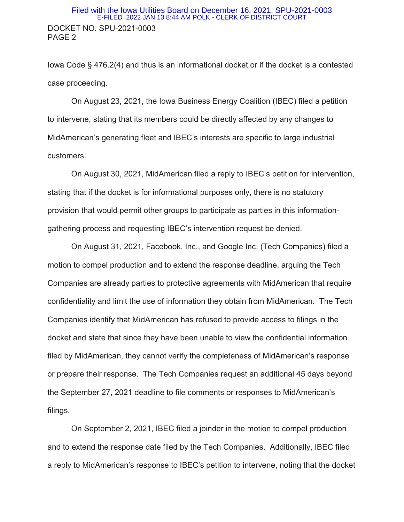#### DOCKET NO. SPU-2021-0003 PAGE 2 Filed with the Iowa Utilities Board on December 16, 2021, SPU-2021-0003 E-FILED 2022 JAN 13 8:44 AM POLK - CLERK OF DISTRICT COURT

Iowa Code § 476.2(4) and thus is an informational docket or if the docket is a contested case proceeding.

 On August 23, 2021, the Iowa Business Energy Coalition (IBEC) filed a petition to intervene, stating that its members could be directly affected by any changes to MidAmerican's generating fleet and IBEC's interests are specific to large industrial customers.

On August 30, 2021, MidAmerican filed a reply to IBEC's petition for intervention, stating that if the docket is for informational purposes only, there is no statutory provision that would permit other groups to participate as parties in this informationgathering process and requesting IBEC's intervention request be denied.

On August 31, 2021, Facebook, Inc., and Google Inc. (Tech Companies) filed a motion to compel production and to extend the response deadline, arguing the Tech Companies are already parties to protective agreements with MidAmerican that require confidentiality and limit the use of information they obtain from MidAmerican. The Tech Companies identify that MidAmerican has refused to provide access to filings in the docket and state that since they have been unable to view the confidential information filed by MidAmerican, they cannot verify the completeness of MidAmerican's response or prepare their response. The Tech Companies request an additional 45 days beyond the September 27, 2021 deadline to file comments or responses to MidAmerican's filings.

On September 2, 2021, IBEC filed a joinder in the motion to compel production and to extend the response date filed by the Tech Companies. Additionally, IBEC filed a reply to MidAmerican's response to IBEC's petition to intervene, noting that the docket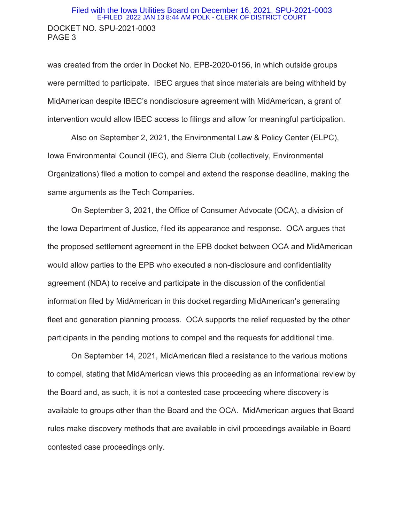#### DOCKET NO. SPU-2021-0003 PAGE 3 Filed with the Iowa Utilities Board on December 16, 2021, SPU-2021-0003 E-FILED 2022 JAN 13 8:44 AM POLK - CLERK OF DISTRICT COURT

was created from the order in Docket No. EPB-2020-0156, in which outside groups were permitted to participate. IBEC argues that since materials are being withheld by MidAmerican despite IBEC's nondisclosure agreement with MidAmerican, a grant of intervention would allow IBEC access to filings and allow for meaningful participation.

Also on September 2, 2021, the Environmental Law & Policy Center (ELPC), Iowa Environmental Council (IEC), and Sierra Club (collectively, Environmental Organizations) filed a motion to compel and extend the response deadline, making the same arguments as the Tech Companies.

On September 3, 2021, the Office of Consumer Advocate (OCA), a division of the Iowa Department of Justice, filed its appearance and response. OCA argues that the proposed settlement agreement in the EPB docket between OCA and MidAmerican would allow parties to the EPB who executed a non-disclosure and confidentiality agreement (NDA) to receive and participate in the discussion of the confidential information filed by MidAmerican in this docket regarding MidAmerican's generating fleet and generation planning process. OCA supports the relief requested by the other participants in the pending motions to compel and the requests for additional time.

On September 14, 2021, MidAmerican filed a resistance to the various motions to compel, stating that MidAmerican views this proceeding as an informational review by the Board and, as such, it is not a contested case proceeding where discovery is available to groups other than the Board and the OCA. MidAmerican argues that Board rules make discovery methods that are available in civil proceedings available in Board contested case proceedings only.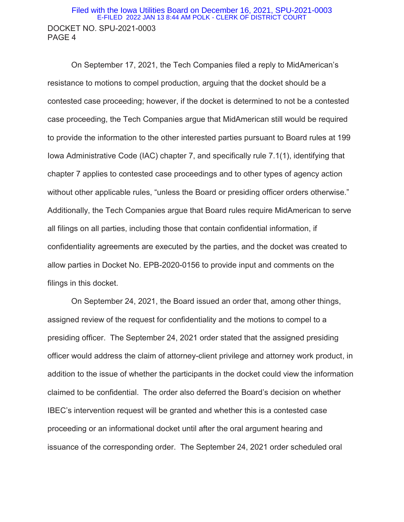#### DOCKET NO. SPU-2021-0003 PAGE 4 Filed with the Iowa Utilities Board on December 16, 2021, SPU-2021-0003 E-FILED 2022 JAN 13 8:44 AM POLK - CLERK OF DISTRICT COURT

On September 17, 2021, the Tech Companies filed a reply to MidAmerican's resistance to motions to compel production, arguing that the docket should be a contested case proceeding; however, if the docket is determined to not be a contested case proceeding, the Tech Companies argue that MidAmerican still would be required to provide the information to the other interested parties pursuant to Board rules at 199 Iowa Administrative Code (IAC) chapter 7, and specifically rule 7.1(1), identifying that chapter 7 applies to contested case proceedings and to other types of agency action without other applicable rules, "unless the Board or presiding officer orders otherwise." Additionally, the Tech Companies argue that Board rules require MidAmerican to serve all filings on all parties, including those that contain confidential information, if confidentiality agreements are executed by the parties, and the docket was created to allow parties in Docket No. EPB-2020-0156 to provide input and comments on the filings in this docket.

On September 24, 2021, the Board issued an order that, among other things, assigned review of the request for confidentiality and the motions to compel to a presiding officer. The September 24, 2021 order stated that the assigned presiding officer would address the claim of attorney-client privilege and attorney work product, in addition to the issue of whether the participants in the docket could view the information claimed to be confidential. The order also deferred the Board's decision on whether IBEC's intervention request will be granted and whether this is a contested case proceeding or an informational docket until after the oral argument hearing and issuance of the corresponding order. The September 24, 2021 order scheduled oral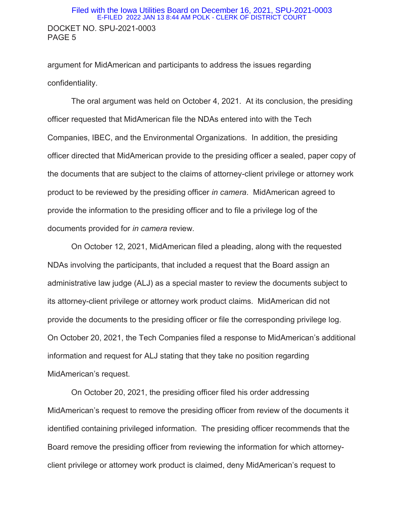#### DOCKET NO. SPU-2021-0003 PAGE 5 Filed with the Iowa Utilities Board on December 16, 2021, SPU-2021-0003 E-FILED 2022 JAN 13 8:44 AM POLK - CLERK OF DISTRICT COURT

argument for MidAmerican and participants to address the issues regarding confidentiality.

The oral argument was held on October 4, 2021. At its conclusion, the presiding officer requested that MidAmerican file the NDAs entered into with the Tech Companies, IBEC, and the Environmental Organizations. In addition, the presiding officer directed that MidAmerican provide to the presiding officer a sealed, paper copy of the documents that are subject to the claims of attorney-client privilege or attorney work product to be reviewed by the presiding officer *in camera*. MidAmerican agreed to provide the information to the presiding officer and to file a privilege log of the documents provided for *in camera* review.

On October 12, 2021, MidAmerican filed a pleading, along with the requested NDAs involving the participants, that included a request that the Board assign an administrative law judge (ALJ) as a special master to review the documents subject to its attorney-client privilege or attorney work product claims. MidAmerican did not provide the documents to the presiding officer or file the corresponding privilege log. On October 20, 2021, the Tech Companies filed a response to MidAmerican's additional information and request for ALJ stating that they take no position regarding MidAmerican's request.

On October 20, 2021, the presiding officer filed his order addressing MidAmerican's request to remove the presiding officer from review of the documents it identified containing privileged information. The presiding officer recommends that the Board remove the presiding officer from reviewing the information for which attorneyclient privilege or attorney work product is claimed, deny MidAmerican's request to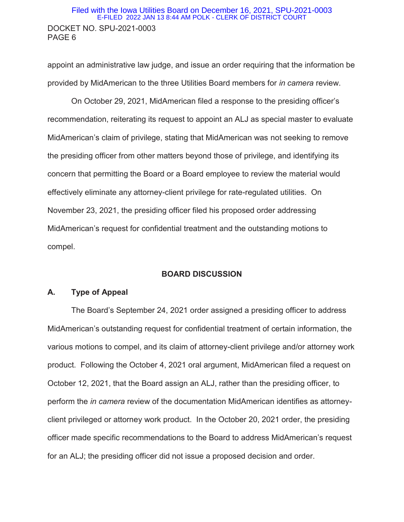#### DOCKET NO. SPU-2021-0003 PAGE 6 Filed with the Iowa Utilities Board on December 16, 2021, SPU-2021-0003 E-FILED 2022 JAN 13 8:44 AM POLK - CLERK OF DISTRICT COURT

appoint an administrative law judge, and issue an order requiring that the information be provided by MidAmerican to the three Utilities Board members for *in camera* review.

On October 29, 2021, MidAmerican filed a response to the presiding officer's recommendation, reiterating its request to appoint an ALJ as special master to evaluate MidAmerican's claim of privilege, stating that MidAmerican was not seeking to remove the presiding officer from other matters beyond those of privilege, and identifying its concern that permitting the Board or a Board employee to review the material would effectively eliminate any attorney-client privilege for rate-regulated utilities. On November 23, 2021, the presiding officer filed his proposed order addressing MidAmerican's request for confidential treatment and the outstanding motions to compel.

#### **BOARD DISCUSSION**

#### **A. Type of Appeal**

The Board's September 24, 2021 order assigned a presiding officer to address MidAmerican's outstanding request for confidential treatment of certain information, the various motions to compel, and its claim of attorney-client privilege and/or attorney work product. Following the October 4, 2021 oral argument, MidAmerican filed a request on October 12, 2021, that the Board assign an ALJ, rather than the presiding officer, to perform the *in camera* review of the documentation MidAmerican identifies as attorneyclient privileged or attorney work product. In the October 20, 2021 order, the presiding officer made specific recommendations to the Board to address MidAmerican's request for an ALJ; the presiding officer did not issue a proposed decision and order.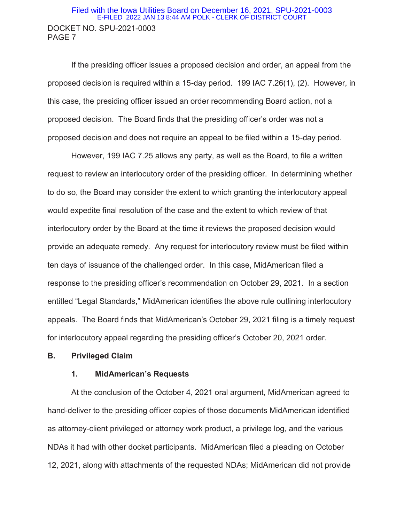#### DOCKET NO. SPU-2021-0003 PAGE 7 Filed with the Iowa Utilities Board on December 16, 2021, SPU-2021-0003 E-FILED 2022 JAN 13 8:44 AM POLK - CLERK OF DISTRICT COURT

If the presiding officer issues a proposed decision and order, an appeal from the proposed decision is required within a 15-day period. 199 IAC 7.26(1), (2). However, in this case, the presiding officer issued an order recommending Board action, not a proposed decision. The Board finds that the presiding officer's order was not a proposed decision and does not require an appeal to be filed within a 15-day period.

However, 199 IAC 7.25 allows any party, as well as the Board, to file a written request to review an interlocutory order of the presiding officer. In determining whether to do so, the Board may consider the extent to which granting the interlocutory appeal would expedite final resolution of the case and the extent to which review of that interlocutory order by the Board at the time it reviews the proposed decision would provide an adequate remedy. Any request for interlocutory review must be filed within ten days of issuance of the challenged order. In this case, MidAmerican filed a response to the presiding officer's recommendation on October 29, 2021. In a section entitled "Legal Standards," MidAmerican identifies the above rule outlining interlocutory appeals. The Board finds that MidAmerican's October 29, 2021 filing is a timely request for interlocutory appeal regarding the presiding officer's October 20, 2021 order.

#### **B. Privileged Claim**

#### **1. MidAmerican's Requests**

At the conclusion of the October 4, 2021 oral argument, MidAmerican agreed to hand-deliver to the presiding officer copies of those documents MidAmerican identified as attorney-client privileged or attorney work product, a privilege log, and the various NDAs it had with other docket participants. MidAmerican filed a pleading on October 12, 2021, along with attachments of the requested NDAs; MidAmerican did not provide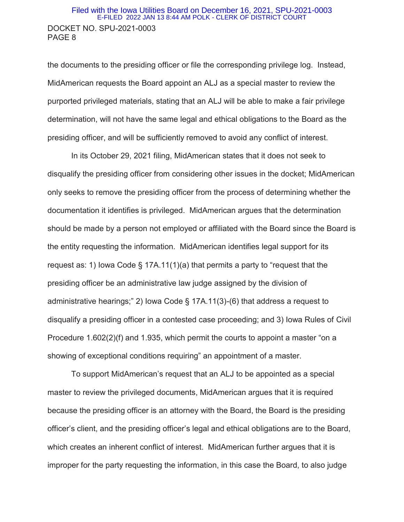#### DOCKET NO. SPU-2021-0003 PAGE 8 Filed with the Iowa Utilities Board on December 16, 2021, SPU-2021-0003 E-FILED 2022 JAN 13 8:44 AM POLK - CLERK OF DISTRICT COURT

the documents to the presiding officer or file the corresponding privilege log. Instead, MidAmerican requests the Board appoint an ALJ as a special master to review the purported privileged materials, stating that an ALJ will be able to make a fair privilege determination, will not have the same legal and ethical obligations to the Board as the presiding officer, and will be sufficiently removed to avoid any conflict of interest.

In its October 29, 2021 filing, MidAmerican states that it does not seek to disqualify the presiding officer from considering other issues in the docket; MidAmerican only seeks to remove the presiding officer from the process of determining whether the documentation it identifies is privileged. MidAmerican argues that the determination should be made by a person not employed or affiliated with the Board since the Board is the entity requesting the information. MidAmerican identifies legal support for its request as: 1) lowa Code  $\S$  17A.11(1)(a) that permits a party to "request that the presiding officer be an administrative law judge assigned by the division of administrative hearings;" 2) Iowa Code § 17A.11(3)-(6) that address a request to disqualify a presiding officer in a contested case proceeding; and 3) Iowa Rules of Civil Procedure 1.602(2)(f) and 1.935, which permit the courts to appoint a master "on a showing of exceptional conditions requiring" an appointment of a master.

To support MidAmerican's request that an ALJ to be appointed as a special master to review the privileged documents, MidAmerican argues that it is required because the presiding officer is an attorney with the Board, the Board is the presiding officer's client, and the presiding officer's legal and ethical obligations are to the Board, which creates an inherent conflict of interest. MidAmerican further argues that it is improper for the party requesting the information, in this case the Board, to also judge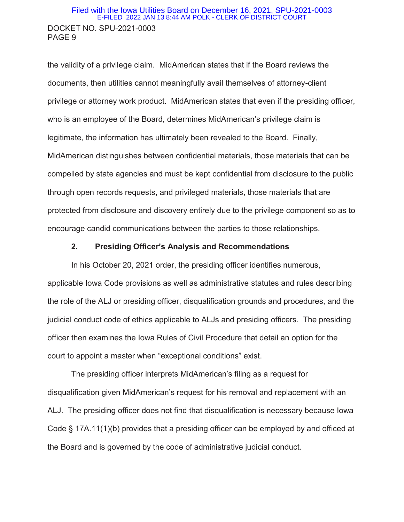#### DOCKET NO. SPU-2021-0003 PAGE 9 Filed with the Iowa Utilities Board on December 16, 2021, SPU-2021-0003 E-FILED 2022 JAN 13 8:44 AM POLK - CLERK OF DISTRICT COURT

the validity of a privilege claim. MidAmerican states that if the Board reviews the documents, then utilities cannot meaningfully avail themselves of attorney-client privilege or attorney work product. MidAmerican states that even if the presiding officer, who is an employee of the Board, determines MidAmerican's privilege claim is legitimate, the information has ultimately been revealed to the Board. Finally, MidAmerican distinguishes between confidential materials, those materials that can be compelled by state agencies and must be kept confidential from disclosure to the public through open records requests, and privileged materials, those materials that are protected from disclosure and discovery entirely due to the privilege component so as to encourage candid communications between the parties to those relationships.

#### **2. Presiding Officer's Analysis and Recommendations**

In his October 20, 2021 order, the presiding officer identifies numerous, applicable Iowa Code provisions as well as administrative statutes and rules describing the role of the ALJ or presiding officer, disqualification grounds and procedures, and the judicial conduct code of ethics applicable to ALJs and presiding officers. The presiding officer then examines the Iowa Rules of Civil Procedure that detail an option for the court to appoint a master when "exceptional conditions" exist.

The presiding officer interprets MidAmerican's filing as a request for disqualification given MidAmerican's request for his removal and replacement with an ALJ. The presiding officer does not find that disqualification is necessary because Iowa Code § 17A.11(1)(b) provides that a presiding officer can be employed by and officed at the Board and is governed by the code of administrative judicial conduct.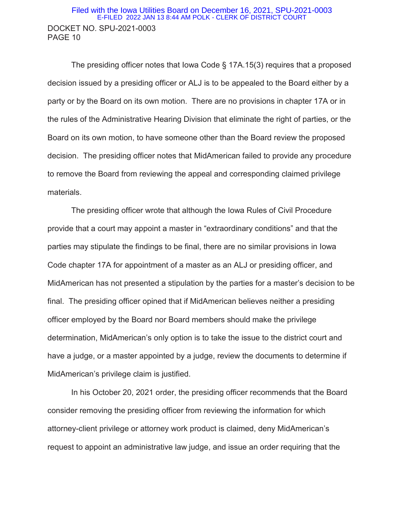#### DOCKET NO. SPU-2021-0003 PAGE 10 Filed with the Iowa Utilities Board on December 16, 2021, SPU-2021-0003 E-FILED 2022 JAN 13 8:44 AM POLK - CLERK OF DISTRICT COURT

The presiding officer notes that Iowa Code § 17A.15(3) requires that a proposed decision issued by a presiding officer or ALJ is to be appealed to the Board either by a party or by the Board on its own motion. There are no provisions in chapter 17A or in the rules of the Administrative Hearing Division that eliminate the right of parties, or the Board on its own motion, to have someone other than the Board review the proposed decision. The presiding officer notes that MidAmerican failed to provide any procedure to remove the Board from reviewing the appeal and corresponding claimed privilege materials.

The presiding officer wrote that although the Iowa Rules of Civil Procedure provide that a court may appoint a master in "extraordinary conditions" and that the parties may stipulate the findings to be final, there are no similar provisions in Iowa Code chapter 17A for appointment of a master as an ALJ or presiding officer, and MidAmerican has not presented a stipulation by the parties for a master's decision to be final. The presiding officer opined that if MidAmerican believes neither a presiding officer employed by the Board nor Board members should make the privilege determination, MidAmerican's only option is to take the issue to the district court and have a judge, or a master appointed by a judge, review the documents to determine if MidAmerican's privilege claim is justified.

In his October 20, 2021 order, the presiding officer recommends that the Board consider removing the presiding officer from reviewing the information for which attorney-client privilege or attorney work product is claimed, deny MidAmerican's request to appoint an administrative law judge, and issue an order requiring that the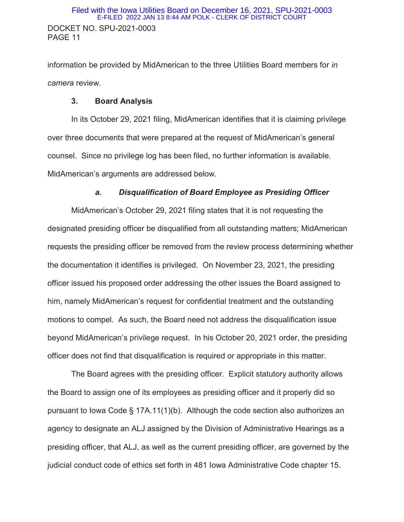information be provided by MidAmerican to the three Utilities Board members for *in camera* review.

# **3. Board Analysis**

In its October 29, 2021 filing, MidAmerican identifies that it is claiming privilege over three documents that were prepared at the request of MidAmerican's general counsel. Since no privilege log has been filed, no further information is available. MidAmerican's arguments are addressed below.

# *a. Disqualification of Board Employee as Presiding Officer*

MidAmerican's October 29, 2021 filing states that it is not requesting the designated presiding officer be disqualified from all outstanding matters; MidAmerican requests the presiding officer be removed from the review process determining whether the documentation it identifies is privileged. On November 23, 2021, the presiding officer issued his proposed order addressing the other issues the Board assigned to him, namely MidAmerican's request for confidential treatment and the outstanding motions to compel. As such, the Board need not address the disqualification issue beyond MidAmerican's privilege request. In his October 20, 2021 order, the presiding officer does not find that disqualification is required or appropriate in this matter.

The Board agrees with the presiding officer. Explicit statutory authority allows the Board to assign one of its employees as presiding officer and it properly did so pursuant to Iowa Code § 17A.11(1)(b). Although the code section also authorizes an agency to designate an ALJ assigned by the Division of Administrative Hearings as a presiding officer, that ALJ, as well as the current presiding officer, are governed by the judicial conduct code of ethics set forth in 481 Iowa Administrative Code chapter 15.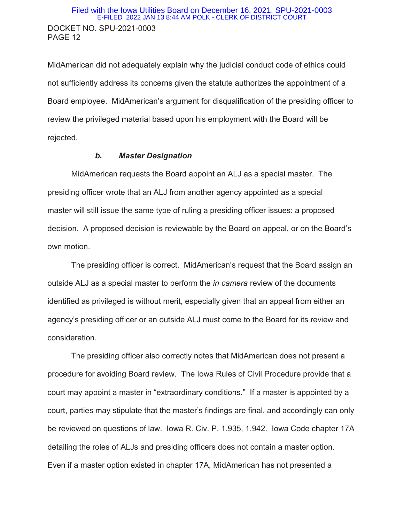MidAmerican did not adequately explain why the judicial conduct code of ethics could not sufficiently address its concerns given the statute authorizes the appointment of a Board employee. MidAmerican's argument for disqualification of the presiding officer to review the privileged material based upon his employment with the Board will be rejected.

#### *b. Master Designation*

MidAmerican requests the Board appoint an ALJ as a special master. The presiding officer wrote that an ALJ from another agency appointed as a special master will still issue the same type of ruling a presiding officer issues: a proposed decision. A proposed decision is reviewable by the Board on appeal, or on the Board's own motion.

The presiding officer is correct. MidAmerican's request that the Board assign an outside ALJ as a special master to perform the *in camera* review of the documents identified as privileged is without merit, especially given that an appeal from either an agency's presiding officer or an outside ALJ must come to the Board for its review and consideration.

The presiding officer also correctly notes that MidAmerican does not present a procedure for avoiding Board review. The Iowa Rules of Civil Procedure provide that a court may appoint a master in "extraordinary conditions." If a master is appointed by a court, parties may stipulate that the master's findings are final, and accordingly can only be reviewed on questions of law. Iowa R. Civ. P. 1.935, 1.942. Iowa Code chapter 17A detailing the roles of ALJs and presiding officers does not contain a master option. Even if a master option existed in chapter 17A, MidAmerican has not presented a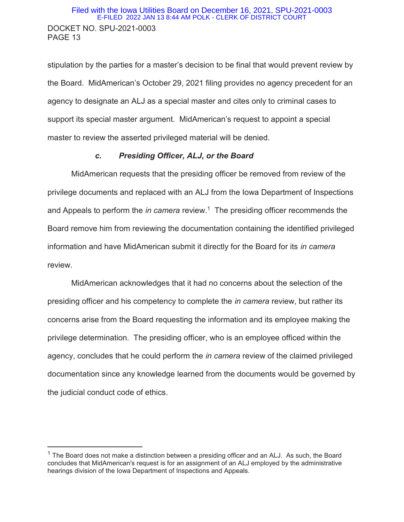#### DOCKET NO. SPU-2021-0003 PAGE 13 Filed with the Iowa Utilities Board on December 16, 2021, SPU-2021-0003 E-FILED 2022 JAN 13 8:44 AM POLK - CLERK OF DISTRICT COURT

stipulation by the parties for a master's decision to be final that would prevent review by the Board. MidAmerican's October 29, 2021 filing provides no agency precedent for an agency to designate an ALJ as a special master and cites only to criminal cases to support its special master argument. MidAmerican's request to appoint a special master to review the asserted privileged material will be denied.

#### *c. Presiding Officer, ALJ, or the Board*

MidAmerican requests that the presiding officer be removed from review of the privilege documents and replaced with an ALJ from the Iowa Department of Inspections and Appeals to perform the *in camera* review.<sup>1</sup> The presiding officer recommends the Board remove him from reviewing the documentation containing the identified privileged information and have MidAmerican submit it directly for the Board for its *in camera* review.

MidAmerican acknowledges that it had no concerns about the selection of the presiding officer and his competency to complete the *in camera* review, but rather its concerns arise from the Board requesting the information and its employee making the privilege determination. The presiding officer, who is an employee officed within the agency, concludes that he could perform the *in camera* review of the claimed privileged documentation since any knowledge learned from the documents would be governed by the judicial conduct code of ethics.

 $\overline{a}$ 

 $1$  The Board does not make a distinction between a presiding officer and an ALJ. As such, the Board concludes that MidAmerican's request is for an assignment of an ALJ employed by the administrative hearings division of the Iowa Department of Inspections and Appeals.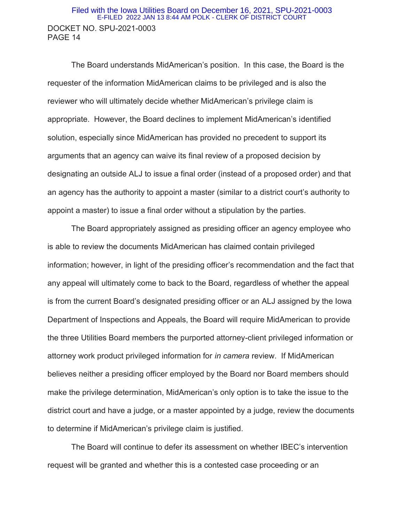#### DOCKET NO. SPU-2021-0003 PAGE 14 Filed with the Iowa Utilities Board on December 16, 2021, SPU-2021-0003 E-FILED 2022 JAN 13 8:44 AM POLK - CLERK OF DISTRICT COURT

The Board understands MidAmerican's position. In this case, the Board is the requester of the information MidAmerican claims to be privileged and is also the reviewer who will ultimately decide whether MidAmerican's privilege claim is appropriate. However, the Board declines to implement MidAmerican's identified solution, especially since MidAmerican has provided no precedent to support its arguments that an agency can waive its final review of a proposed decision by designating an outside ALJ to issue a final order (instead of a proposed order) and that an agency has the authority to appoint a master (similar to a district court's authority to appoint a master) to issue a final order without a stipulation by the parties.

The Board appropriately assigned as presiding officer an agency employee who is able to review the documents MidAmerican has claimed contain privileged information; however, in light of the presiding officer's recommendation and the fact that any appeal will ultimately come to back to the Board, regardless of whether the appeal is from the current Board's designated presiding officer or an ALJ assigned by the Iowa Department of Inspections and Appeals, the Board will require MidAmerican to provide the three Utilities Board members the purported attorney-client privileged information or attorney work product privileged information for *in camera* review. If MidAmerican believes neither a presiding officer employed by the Board nor Board members should make the privilege determination, MidAmerican's only option is to take the issue to the district court and have a judge, or a master appointed by a judge, review the documents to determine if MidAmerican's privilege claim is justified.

The Board will continue to defer its assessment on whether IBEC's intervention request will be granted and whether this is a contested case proceeding or an